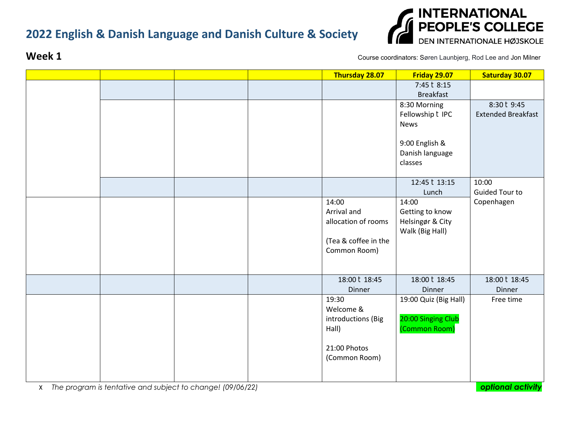

**Week 1 Course coordinators:** Søren Launbjerg, Rod Lee and Jon Milner

|  |  | Thursday 28.07       | <b>Friday 29.07</b>   | <b>Saturday 30.07</b>     |
|--|--|----------------------|-----------------------|---------------------------|
|  |  |                      | 7:45 28:15            |                           |
|  |  |                      | <b>Breakfast</b>      |                           |
|  |  |                      | 8:30 Morning          | 8:30 29:45                |
|  |  |                      | Fellowship ? IPC      | <b>Extended Breakfast</b> |
|  |  |                      | News                  |                           |
|  |  |                      | 9:00 English &        |                           |
|  |  |                      | Danish language       |                           |
|  |  |                      | classes               |                           |
|  |  |                      |                       |                           |
|  |  |                      | 12:45 2 13:15         | 10:00                     |
|  |  |                      | Lunch                 | Guided Tour to            |
|  |  | 14:00                | 14:00                 | Copenhagen                |
|  |  | Arrival and          | Getting to know       |                           |
|  |  | allocation of rooms  | Helsingør & City      |                           |
|  |  | (Tea & coffee in the | Walk (Big Hall)       |                           |
|  |  | Common Room)         |                       |                           |
|  |  |                      |                       |                           |
|  |  |                      |                       |                           |
|  |  | 18:00 2 18:45        | 18:00 2 18:45         | 18:00 2 18:45             |
|  |  | Dinner               | Dinner                | Dinner                    |
|  |  | 19:30                | 19:00 Quiz (Big Hall) | Free time                 |
|  |  | Welcome &            |                       |                           |
|  |  | introductions (Big   | 20:00 Singing Club    |                           |
|  |  | Hall)                | (Common Room)         |                           |
|  |  | 21:00 Photos         |                       |                           |
|  |  | (Common Room)        |                       |                           |
|  |  |                      |                       |                           |
|  |  |                      |                       |                           |

*The program is tentative and subject to change! (09/06/22) optional activity*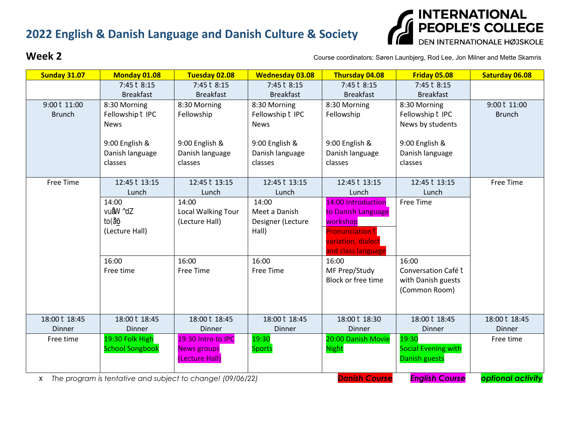

**Week 2 Course coordinators: Søren Launbjerg, Rod Lee, Jon Milner and Mette Skamris** 

| <b>Sunday 31.07</b>                                        | <b>Monday 01.08</b>    | <b>Tuesday 02.08</b>      | <b>Wednesday 03.08</b> | Thursday 04.08                           | Friday 05.08               | <b>Saturday 06.08</b> |
|------------------------------------------------------------|------------------------|---------------------------|------------------------|------------------------------------------|----------------------------|-----------------------|
|                                                            | 7:45 28:15             | 7:45 28:15                | 7:45 28:15             | 7:45 28:15                               | 7:45 28:15                 |                       |
|                                                            | <b>Breakfast</b>       | <b>Breakfast</b>          | <b>Breakfast</b>       | <b>Breakfast</b>                         | <b>Breakfast</b>           |                       |
| 9:00 211:00                                                | 8:30 Morning           | 8:30 Morning              | 8:30 Morning           | 8:30 Morning                             | 8:30 Morning               | 9:00 211:00           |
| <b>Brunch</b>                                              | Fellowship 2 IPC       | Fellowship                | Fellowship 2 IPC       | Fellowship                               | Fellowship 2 IPC           | <b>Brunch</b>         |
|                                                            | <b>News</b>            |                           | <b>News</b>            |                                          | News by students           |                       |
|                                                            | 9:00 English &         | 9:00 English &            | 9:00 English &         | 9:00 English &                           | 9:00 English &             |                       |
|                                                            | Danish language        | Danish language           | Danish language        | Danish language                          | Danish language            |                       |
|                                                            | classes                | classes                   | classes                | classes                                  | classes                    |                       |
|                                                            |                        |                           |                        |                                          |                            |                       |
| Free Time                                                  | 12:45 2 13:15          | 12:45 2 13:15             | 12:45 2 13:15          | 12:45 2 13:15                            | 12:45 2 13:15              | Free Time             |
|                                                            | Lunch                  | Lunch                     | Lunch                  | Lunch                                    | Lunch                      |                       |
|                                                            | 14:00                  | 14:00                     | 14:00                  | 14:00 Introduction                       | Free Time                  |                       |
|                                                            | <b>ZIVII</b>           | <b>Local Walking Tour</b> | Meet a Danish          | to Danish Language                       |                            |                       |
|                                                            | <b>BITKI</b> ?         | (Lecture Hall)            | Designer (Lecture      | workshop                                 |                            |                       |
|                                                            | (Lecture Hall)         |                           | Hall)                  | <b>Pronunciation <b>P</b></b>            |                            |                       |
|                                                            |                        |                           |                        | variation, dialect<br>and class language |                            |                       |
|                                                            | 16:00                  | 16:00                     | 16:00                  | 16:00                                    | 16:00                      |                       |
|                                                            | Free time              | <b>Free Time</b>          | Free Time              | MF Prep/Study                            | Conversation Café <b>?</b> |                       |
|                                                            |                        |                           |                        | Block or free time                       | with Danish guests         |                       |
|                                                            |                        |                           |                        |                                          | (Common Room)              |                       |
|                                                            |                        |                           |                        |                                          |                            |                       |
| 18:00 2 18:45                                              | 18:00 2 18:45          | 18:00 2 18:45             | 18:00 2 18:45          | 18:00 2 18:30                            | 18:00 2 18:45              | 18:00 2 18:45         |
| Dinner                                                     | <b>Dinner</b>          | Dinner                    | Dinner                 | <b>Dinner</b>                            | Dinner                     | <b>Dinner</b>         |
| Free time                                                  | 19:30 Folk High        | 19:30 Intro to IPC        | 19:30                  | 20:00 Danish Movie                       | 19:30                      | Free time             |
|                                                            | <b>School Songbook</b> | <b>News groups</b>        | <b>Sports</b>          | <b>Night</b>                             | <b>Social Evening with</b> |                       |
|                                                            |                        | (Lecture Hall)            |                        |                                          | <b>Danish guests</b>       |                       |
| The program is tentative and subject to change! (09/06/22) |                        |                           |                        | <b>Danish Course</b>                     | <b>English Course</b>      | optional activity     |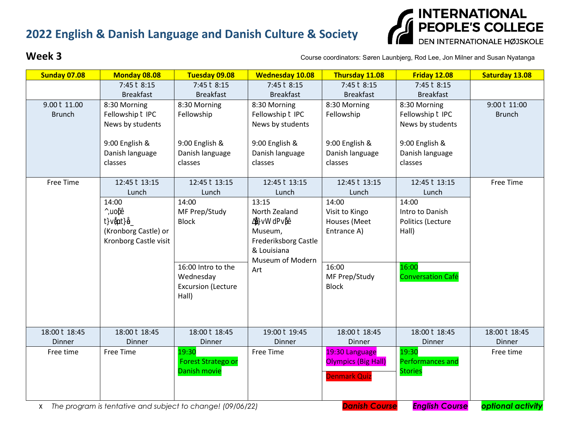

**Week 3 Course coordinators: Søren Launbjerg, Rod Lee, Jon Milner and Susan Nyatanga** 

| <b>Sunday 07.08</b> | <b>Monday 08.08</b>     | <b>Tuesday 09.08</b>      | <b>Wednesday 10.08</b>  | Thursday 11.08             | <b>Friday 12.08</b>      | <b>Saturday 13.08</b> |
|---------------------|-------------------------|---------------------------|-------------------------|----------------------------|--------------------------|-----------------------|
|                     | 7:45 28:15              | 7:45 28:15                | 7:45 28:15              | 7:45 28:15                 | 7:45 28:15               |                       |
|                     | <b>Breakfast</b>        | <b>Breakfast</b>          | <b>Breakfast</b>        | <b>Breakfast</b>           | <b>Breakfast</b>         |                       |
| 9.00 211.00         | 8:30 Morning            | 8:30 Morning              | 8:30 Morning            | 8:30 Morning               | 8:30 Morning             | 9:00 211:00           |
| <b>Brunch</b>       | Fellowship <b>D</b> IPC | Fellowship                | Fellowship <b>D</b> IPC | Fellowship                 | Fellowship 2 IPC         | <b>Brunch</b>         |
|                     | News by students        |                           | News by students        |                            | News by students         |                       |
|                     | 9:00 English &          | 9:00 English &            | 9:00 English &          | 9:00 English &             | 9:00 English &           |                       |
|                     | Danish language         | Danish language           | Danish language         | Danish language            | Danish language          |                       |
|                     | classes                 | classes                   | classes                 | classes                    | classes                  |                       |
| Free Time           | 12:45 2 13:15           | 12:45 2 13:15             | 12:45 2 13:15           | 12:45 2 13:15              | 12:45 2 13:15            | Free Time             |
|                     | Lunch                   | Lunch                     | Lunch                   | Lunch                      | Lunch                    |                       |
|                     | 14:00                   | 14:00                     | 13:15                   | 14:00                      | 14:00                    |                       |
|                     | 宋日?                     | MF Prep/Study             | North Zealand           | Visit to Kingo             | Intro to Danish          |                       |
|                     | <b>BB</b> 2             | <b>Block</b>              | <b>ézec</b> e           | Houses (Meet               | Politics (Lecture        |                       |
|                     | (Kronborg Castle) or    |                           | Museum,                 | Entrance A)                | Hall)                    |                       |
|                     | Kronborg Castle visit   |                           | Frederiksborg Castle    |                            |                          |                       |
|                     |                         |                           | & Louisiana             |                            |                          |                       |
|                     |                         |                           | Museum of Modern        |                            |                          |                       |
|                     |                         | 16:00 Intro to the        | Art                     | 16:00                      | 16:00                    |                       |
|                     |                         | Wednesday                 |                         | MF Prep/Study              | <b>Conversation Café</b> |                       |
|                     |                         | <b>Excursion (Lecture</b> |                         | <b>Block</b>               |                          |                       |
|                     |                         | Hall)                     |                         |                            |                          |                       |
|                     |                         |                           |                         |                            |                          |                       |
|                     |                         |                           |                         |                            |                          |                       |
| 18:00 2 18:45       | 18:00 2 18:45           | 18:00 2 18:45             | 19:00 2 19:45           | 18:00 2 18:45              | 18:00 2 18:45            | 18:00 2 18:45         |
| Dinner              | Dinner                  | Dinner                    | Dinner                  | Dinner                     | Dinner                   | <b>Dinner</b>         |
| Free time           | Free Time               | 19:30                     | Free Time               | 19:30 Language             | 19:30                    | Free time             |
|                     |                         | <b>Forest Stratego or</b> |                         | <b>Olympics (Big Hall)</b> | Performances and         |                       |
|                     |                         | <b>Danish movie</b>       |                         | <b>Denmark Quiz</b>        | <b>Stories</b>           |                       |
|                     |                         |                           |                         |                            |                          |                       |
|                     |                         |                           |                         |                            |                          |                       |